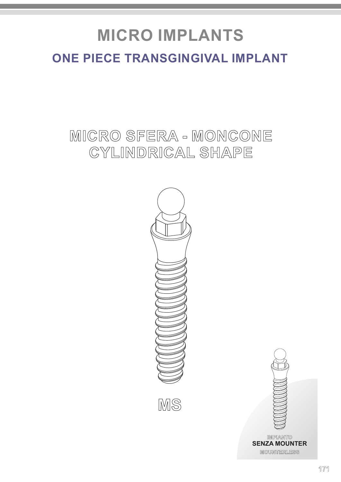# **ONE PIECE TRANSGINGIVAL IMPLANT MICRO IMPLANTS**

# **MICRO SFERA - MONCONE CYLINDRICAL SHAPE**







**MOUNTERLESS IMPIANTO SENZA MOUNTER**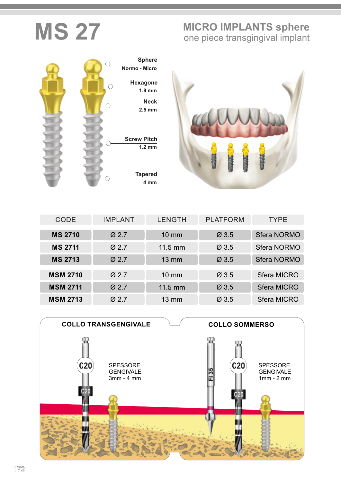# **MIS 27 MICRO IMPLANTS sphere** one piece transgingival implant





| <b>CODE</b>     | <b>IMPLANT</b>    | <b>LENGTH</b>     | <b>PLATFORM</b>   | <b>TYPE</b>        |
|-----------------|-------------------|-------------------|-------------------|--------------------|
| <b>MS 2710</b>  | $\varnothing$ 2.7 | $10 \text{ mm}$   | Ø3.5              | <b>Sfera NORMO</b> |
| <b>MS 2711</b>  | $\varnothing$ 2.7 | $11.5 \text{ mm}$ | $\varnothing$ 3.5 | <b>Sfera NORMO</b> |
| <b>MS 2713</b>  | $Ø$ 2.7           | $13 \text{ mm}$   | Ø3.5              | <b>Sfera NORMO</b> |
| <b>MSM 2710</b> | $\varnothing$ 2.7 | $10 \text{ mm}$   | $\varnothing$ 3.5 | <b>Sfera MICRO</b> |
| <b>MSM 2711</b> | $Ø$ 2.7           | $11.5$ mm         | Ø3.5              | <b>Sfera MICRO</b> |
| <b>MSM 2713</b> | $\varnothing$ 2.7 | $13 \, \text{mm}$ | $\varnothing$ 3.5 | <b>Sfera MICRO</b> |